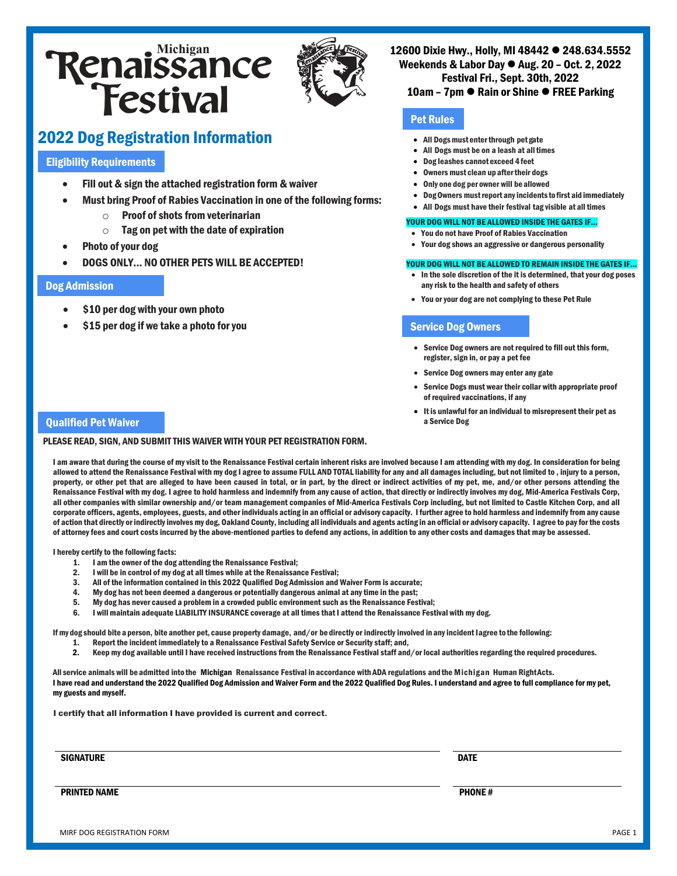# **Renaissance**<br>**Festival**



# 2022 Dog Registration Information

# Eligibility Requirements

- Fill out & sign the attached registration form & waiver
- Must bring Proof of Rabies Vaccination in one of the following forms:
	- $\circ$  Proof of shots from veterinarian
	- $\circ$  Tag on pet with the date of expiration
- Photo of your dog
- DOGS ONLY... NO OTHER PETS WILL BE ACCEPTED!

#### Dog Admission

- \$10 per dog with your own photo
- \$15 per dog if we take a photo for you

12600 Dixie Hwy., Holly, MI 48442 <sup>o</sup> 248.634.5552 Weekends & Labor Day  $\bullet$  Aug. 20 – Oct. 2, 2022 Festival Fri., Sept. 30th, 2022

## 10am – 7pm ● Rain or Shine ● FREE Parking

# Pet Rules

- All Dogs must enter through pet gate
- All Dogs must be on a leash at all times
- Dog leashes cannot exceed 4feet
- Owners must clean up after their dogs
- Only one dog per owner will be allowed
- DogOwners mustreport anyincidents tofirst aid immediately
- All Dogs must have their festival tag visible at all times

#### YOUR DOG WILL NOT BE ALLOWED INSIDE THE GATES IF...

- You do not have Proof of Rabies Vaccination
- Your dog shows an aggressive or dangerous personality

#### YOUR DOG WILL NOT BE ALLOWED TO REMAIN INSIDE THE GATES IF...

- In the sole discretion of the it is determined, that your dog poses any risk to the health and safety of others
- You or your dog are not complying to these Pet Rule

## Service Dog Owners

- Service Dog owners are not required to fill out this form, register, sign in, or pay a pet fee
- Service Dog owners may enter any gate
- Service Dogs must wear their collar with appropriate proof of required vaccinations, if any
- It is unlawful for an individual to misrepresent their pet as a Service Dog

#### Qualified Pet Waiver

#### PLEASE READ, SIGN, AND SUBMIT THIS WAIVER WITH YOUR PET REGISTRATION FORM.

I am aware that during the course of my visit to the Renaissance Festival certain inherent risks are involved because I am attending with my dog. In consideration for being allowed to attend the Renaissance Festival with my dog I agree to assume FULL AND TOTAL liability for any and all damages including, but not limited to , injury to a person, property, or other pet that are alleged to have been caused in total, or in part, by the direct or indirect activities of my pet, me, and/or other persons attending the Renaissance Festival with my dog. I agree to hold harmless and indemnify from any cause of action, that directly or indirectly involves my dog, Mid-America Festivals Corp, all other companies with similar ownership and/or team management companies of Mid-America Festivals Corp including, but not limited to Castle Kitchen Corp, and all corporate officers, agents, employees, guests, and other individuals acting in an official or advisory capacity. I further agree to hold harmless and indemnify from any cause of action that directly or indirectly involves my dog, Oakland County, including all individuals and agents acting in an official or advisory capacity. I agree to pay for the costs of attorney fees and court costs incurred by the above-mentioned parties to defend any actions, in addition to any other costs and damages that may be assessed.

I hereby certify to the following facts:

- 1. I am the owner of the dog attending the Renaissance Festival;
- 2. I will be in control of my dog at all times while at the Renaissance Festival;
- 3. All of the information contained in this 2022 Qualified Dog Admission and Waiver Form is accurate;
- 4. My dog has not been deemed a dangerous or potentially dangerous animal at any time in the past;
- 5. My dog has never caused a problem in a crowded public environment such as the Renaissance Festival;
- 6. I will maintain adequate LIABILITY INSURANCE coverage at all times that I attend the Renaissance Festival with my dog.

Ifmy dog should bite a person, bite another pet, cause property damage, and/or be directly or indirectly involved in any incident Iagree to the following:

- 1. Report the incident immediately to a Renaissance Festival Safety Service or Security staff; and,
- 2. Keep my dog available until I have received instructions from the Renaissance Festival staff and/or local authorities regarding the required procedures.

All service animals will be admitted into the Michigan Renaissance Festival in accordance with ADA regulations andthe Michigan Human RightActs. I have read and understand the 2022 Qualified Dog Admission and Waiver Form and the 2022 Qualified Dog Rules. I understand and agree to full compliance for my pet, my guests and myself.

I certify that all information I have provided is current and correct.

signature that the control of the control of the control of the control of the control of the control of the control of the control of the control of the control of the control of the control of the control of the control

**PRINTED NAME** PHONE # 2014